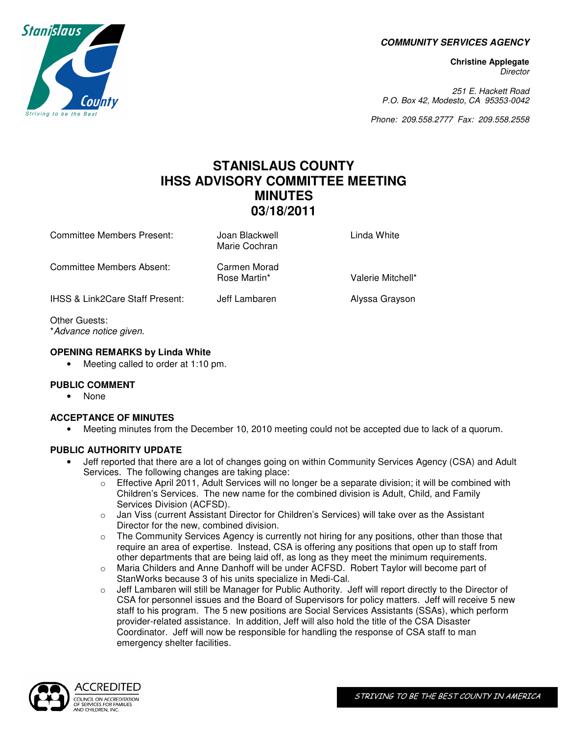**COMMUNITY SERVICES AGENCY**

**Christine Applegate Director** 

251 E. Hackett Road P.O. Box 42, Modesto, CA 95353-0042

Phone: 209.558.2777 Fax: 209.558.2558

# **STANISLAUS COUNTY IHSS ADVISORY COMMITTEE MEETING MINUTES 03/18/2011**

Committee Members Present: Joan Blackwell Linda White Marie Cochran Committee Members Absent: Carmen Morad Valerie Mitchell\* IHSS & Link2Care Staff Present: Jeff Lambaren Alyssa Grayson Other Guests:

\*Advance notice given.

#### **OPENING REMARKS by Linda White**

• Meeting called to order at 1:10 pm.

# **PUBLIC COMMENT**

• None

# **ACCEPTANCE OF MINUTES**

• Meeting minutes from the December 10, 2010 meeting could not be accepted due to lack of a quorum.

# **PUBLIC AUTHORITY UPDATE**

- Jeff reported that there are a lot of changes going on within Community Services Agency (CSA) and Adult Services. The following changes are taking place:
	- $\circ$  Effective April 2011, Adult Services will no longer be a separate division; it will be combined with Children's Services. The new name for the combined division is Adult, Child, and Family Services Division (ACFSD).
	- o Jan Viss (current Assistant Director for Children's Services) will take over as the Assistant Director for the new, combined division.
	- $\circ$  The Community Services Agency is currently not hiring for any positions, other than those that require an area of expertise. Instead, CSA is offering any positions that open up to staff from other departments that are being laid off, as long as they meet the minimum requirements.
	- o Maria Childers and Anne Danhoff will be under ACFSD. Robert Taylor will become part of StanWorks because 3 of his units specialize in Medi-Cal.
	- $\circ$  Jeff Lambaren will still be Manager for Public Authority. Jeff will report directly to the Director of CSA for personnel issues and the Board of Supervisors for policy matters. Jeff will receive 5 new staff to his program. The 5 new positions are Social Services Assistants (SSAs), which perform provider-related assistance. In addition, Jeff will also hold the title of the CSA Disaster Coordinator. Jeff will now be responsible for handling the response of CSA staff to man emergency shelter facilities.



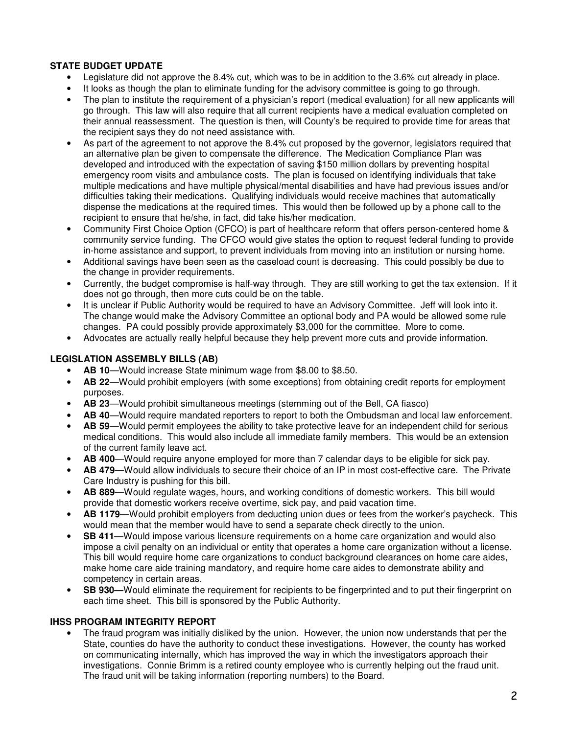# **STATE BUDGET UPDATE**

- Legislature did not approve the 8.4% cut, which was to be in addition to the 3.6% cut already in place.
- It looks as though the plan to eliminate funding for the advisory committee is going to go through.
- The plan to institute the requirement of a physician's report (medical evaluation) for all new applicants will go through. This law will also require that all current recipients have a medical evaluation completed on their annual reassessment. The question is then, will County's be required to provide time for areas that the recipient says they do not need assistance with.
- As part of the agreement to not approve the 8.4% cut proposed by the governor, legislators required that an alternative plan be given to compensate the difference. The Medication Compliance Plan was developed and introduced with the expectation of saving \$150 million dollars by preventing hospital emergency room visits and ambulance costs. The plan is focused on identifying individuals that take multiple medications and have multiple physical/mental disabilities and have had previous issues and/or difficulties taking their medications. Qualifying individuals would receive machines that automatically dispense the medications at the required times. This would then be followed up by a phone call to the recipient to ensure that he/she, in fact, did take his/her medication.
- Community First Choice Option (CFCO) is part of healthcare reform that offers person-centered home & community service funding. The CFCO would give states the option to request federal funding to provide in-home assistance and support, to prevent individuals from moving into an institution or nursing home.
- Additional savings have been seen as the caseload count is decreasing. This could possibly be due to the change in provider requirements.
- Currently, the budget compromise is half-way through. They are still working to get the tax extension. If it does not go through, then more cuts could be on the table.
- It is unclear if Public Authority would be required to have an Advisory Committee. Jeff will look into it. The change would make the Advisory Committee an optional body and PA would be allowed some rule changes. PA could possibly provide approximately \$3,000 for the committee. More to come.
- Advocates are actually really helpful because they help prevent more cuts and provide information.

### **LEGISLATION ASSEMBLY BILLS (AB)**

- **AB 10**—Would increase State minimum wage from \$8.00 to \$8.50.
- **AB 22**—Would prohibit employers (with some exceptions) from obtaining credit reports for employment purposes.
- **AB 23**—Would prohibit simultaneous meetings (stemming out of the Bell, CA fiasco)
- **AB 40**—Would require mandated reporters to report to both the Ombudsman and local law enforcement.
- **AB 59**—Would permit employees the ability to take protective leave for an independent child for serious medical conditions. This would also include all immediate family members. This would be an extension of the current family leave act.
- **AB 400**—Would require anyone employed for more than 7 calendar days to be eligible for sick pay.
- **AB 479**—Would allow individuals to secure their choice of an IP in most cost-effective care. The Private Care Industry is pushing for this bill.
- **AB 889**—Would regulate wages, hours, and working conditions of domestic workers. This bill would provide that domestic workers receive overtime, sick pay, and paid vacation time.
- **AB 1179**—Would prohibit employers from deducting union dues or fees from the worker's paycheck. This would mean that the member would have to send a separate check directly to the union.
- **SB 411**—Would impose various licensure requirements on a home care organization and would also impose a civil penalty on an individual or entity that operates a home care organization without a license. This bill would require home care organizations to conduct background clearances on home care aides, make home care aide training mandatory, and require home care aides to demonstrate ability and competency in certain areas.
- **SB 930—**Would eliminate the requirement for recipients to be fingerprinted and to put their fingerprint on each time sheet. This bill is sponsored by the Public Authority.

#### **IHSS PROGRAM INTEGRITY REPORT**

• The fraud program was initially disliked by the union. However, the union now understands that per the State, counties do have the authority to conduct these investigations. However, the county has worked on communicating internally, which has improved the way in which the investigators approach their investigations. Connie Brimm is a retired county employee who is currently helping out the fraud unit. The fraud unit will be taking information (reporting numbers) to the Board.